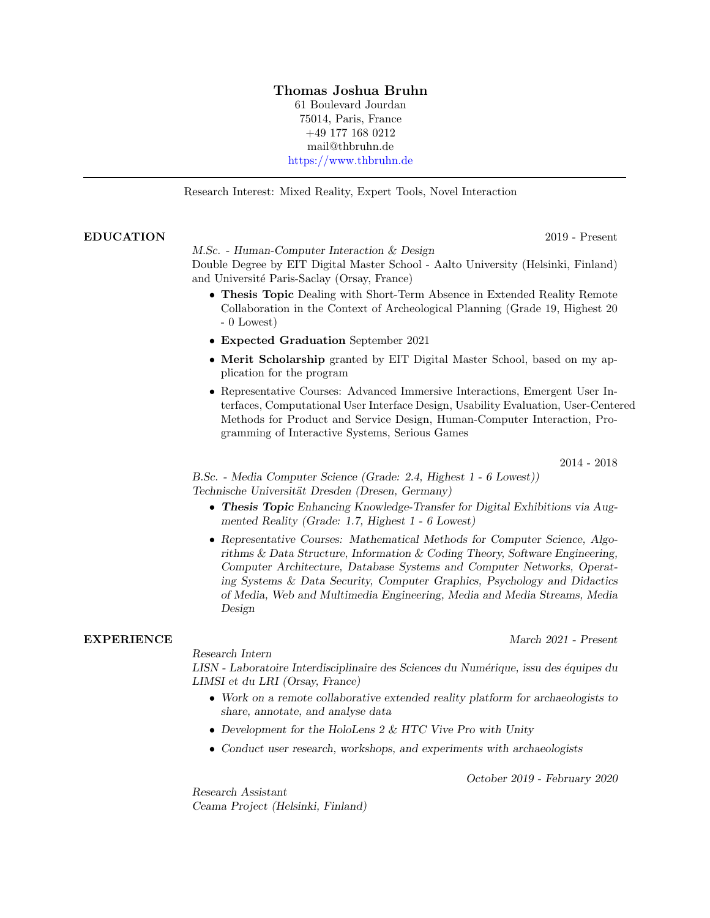## Thomas Joshua Bruhn

61 Boulevard Jourdan 75014, Paris, France +49 177 168 0212 mail@thbruhn.de <https://www.thbruhn.de>

Research Interest: Mixed Reality, Expert Tools, Novel Interaction

## EDUCATION 2019 - Present

M.Sc. - Human-Computer Interaction & Design

Double Degree by EIT Digital Master School - Aalto University (Helsinki, Finland) and Université Paris-Saclay (Orsay, France)

- Thesis Topic Dealing with Short-Term Absence in Extended Reality Remote Collaboration in the Context of Archeological Planning (Grade 19, Highest 20 - 0 Lowest)
- Expected Graduation September 2021
- Merit Scholarship granted by EIT Digital Master School, based on my application for the program
- Representative Courses: Advanced Immersive Interactions, Emergent User Interfaces, Computational User Interface Design, Usability Evaluation, User-Centered Methods for Product and Service Design, Human-Computer Interaction, Programming of Interactive Systems, Serious Games

2014 - 2018

B.Sc. - Media Computer Science (Grade: 2.4, Highest 1 - 6 Lowest)) Technische Universität Dresden (Dresen, Germany)

- Thesis Topic Enhancing Knowledge-Transfer for Digital Exhibitions via Augmented Reality (Grade: 1.7, Highest 1 - 6 Lowest)
- Representative Courses: Mathematical Methods for Computer Science, Algorithms & Data Structure, Information & Coding Theory, Software Engineering, Computer Architecture, Database Systems and Computer Networks, Operating Systems & Data Security, Computer Graphics, Psychology and Didactics of Media, Web and Multimedia Engineering, Media and Media Streams, Media Design

Research Intern

EXPERIENCE March 2021 - Present

LISN - Laboratoire Interdisciplinaire des Sciences du Numérique, issu des équipes du LIMSI et du LRI (Orsay, France)

- Work on a remote collaborative extended reality platform for archaeologists to share, annotate, and analyse data
- Development for the HoloLens 2 & HTC Vive Pro with Unity
- Conduct user research, workshops, and experiments with archaeologists

October 2019 - February 2020

Research Assistant Ceama Project (Helsinki, Finland)